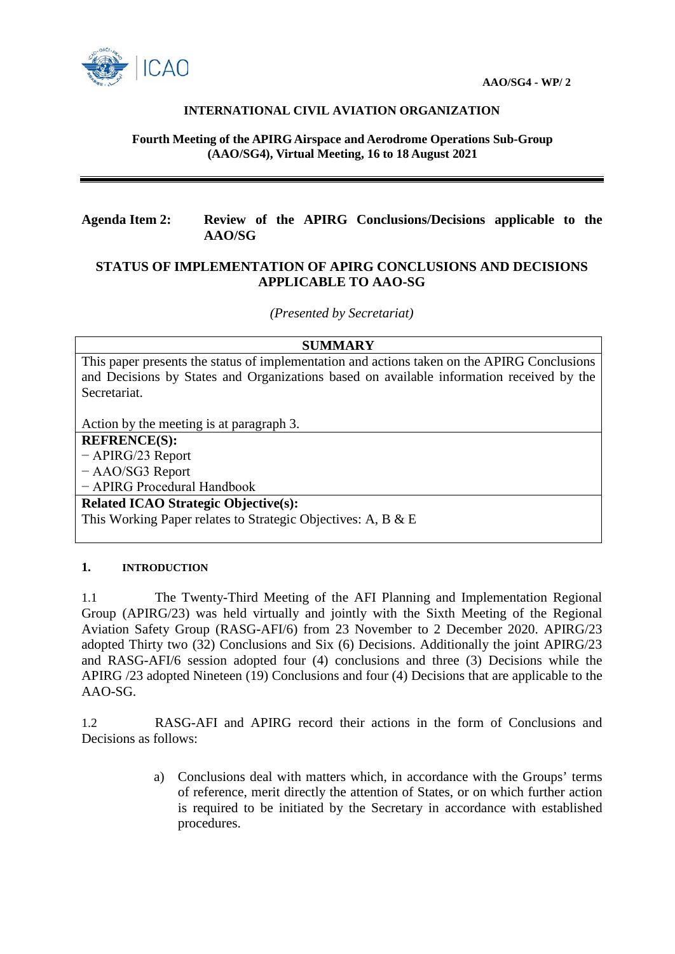

### **INTERNATIONAL CIVIL AVIATION ORGANIZATION**

#### **Fourth Meeting of the APIRG Airspace and Aerodrome Operations Sub-Group (AAO/SG4), Virtual Meeting, 16 to 18 August 2021**

# **Agenda Item 2: Review of the APIRG Conclusions/Decisions applicable to the AAO/SG**

## **STATUS OF IMPLEMENTATION OF APIRG CONCLUSIONS AND DECISIONS APPLICABLE TO AAO-SG**

*(Presented by Secretariat)*

#### **SUMMARY**

This paper presents the status of implementation and actions taken on the APIRG Conclusions and Decisions by States and Organizations based on available information received by the Secretariat.

Action by the meeting is at paragraph 3.

# **REFRENCE(S):**

− APIRG/23 Report − AAO/SG3 Report − APIRG Procedural Handbook

**Related ICAO Strategic Objective(s):**

This Working Paper relates to Strategic Objectives: A, B & E

### **1. INTRODUCTION**

1.1 The Twenty-Third Meeting of the AFI Planning and Implementation Regional Group (APIRG/23) was held virtually and jointly with the Sixth Meeting of the Regional Aviation Safety Group (RASG-AFI/6) from 23 November to 2 December 2020. APIRG/23 adopted Thirty two (32) Conclusions and Six (6) Decisions. Additionally the joint APIRG/23 and RASG-AFI/6 session adopted four (4) conclusions and three (3) Decisions while the APIRG /23 adopted Nineteen (19) Conclusions and four (4) Decisions that are applicable to the AAO-SG.

1.2 RASG-AFI and APIRG record their actions in the form of Conclusions and Decisions as follows:

> a) Conclusions deal with matters which, in accordance with the Groups' terms of reference, merit directly the attention of States, or on which further action is required to be initiated by the Secretary in accordance with established procedures.